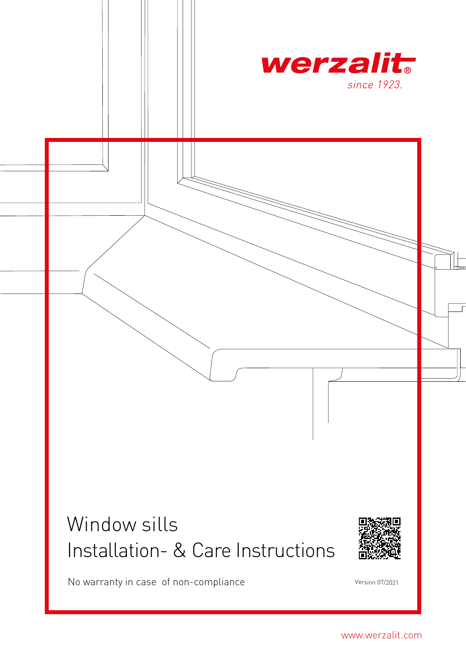

# Window sills Installation- & Care Instructions



No warranty in case of non-compliance version 07/2021

www.werzalit.com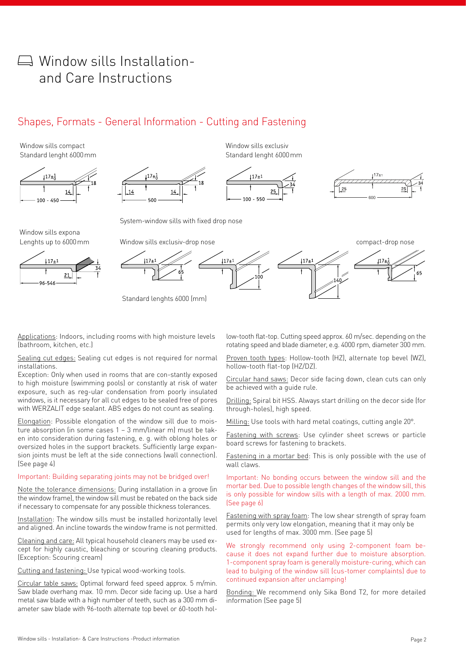## $\Box$  Window sills Installationand Care Instructions

### Shapes, Formats - General Information - Cutting and Fastening

Window sills compact Standard lenght 6000mm



Window sills exclusiv Standard lenght 6000mm



System-window sills with fixed drop nose

Window sills expona Lenghts up to 6000mm







Applications: Indoors, including rooms with high moisture levels (bathroom, kitchen, etc.)

Sealing cut edges: Sealing cut edges is not required for normal installations.

Exception: Only when used in rooms that are con-stantly exposed to high moisture (swimming pools) or constantly at risk of water exposure, such as reg-ular condensation from poorly insulated windows, is it necessary for all cut edges to be sealed free of pores with WERZALIT edge sealant. ABS edges do not count as sealing.

Elongation: Possible elongation of the window sill due to moisture absorption (in some cases 1 – 3 mm/linear m) must be taken into consideration during fastening, e. g. with oblong holes or oversized holes in the support brackets. Sufficiently large expansion joints must be left at the side connections (wall connection). (See page 4)

#### Important: Building separating joints may not be bridged over!

Note the tolerance dimensions: During installation in a groove (in the window frame), the window sill must be rebated on the back side if necessary to compensate for any possible thickness tolerances.

Installation: The window sills must be installed horizontally level and aligned. An incline towards the window frame is not permitted.

Cleaning and care: All typical household cleaners may be used except for highly caustic, bleaching or scouring cleaning products. (Exception: Scouring cream)

Cutting and fastening: Use typical wood-working tools.

Circular table saws: Optimal forward feed speed approx. 5 m/min. Saw blade overhang max. 10 mm. Decor side facing up. Use a hard metal saw blade with a high number of teeth, such as a 300 mm diameter saw blade with 96-tooth alternate top bevel or 60-tooth hollow-tooth flat-top. Cutting speed approx. 60 m/sec. depending on the rotating speed and blade diameter, e.g. 4000 rpm, diameter 300 mm.

Proven tooth types: Hollow-tooth (HZ), alternate top bevel (WZ), hollow-tooth flat-top (HZ/DZ).

Circular hand saws: Decor side facing down, clean cuts can only be achieved with a guide rule.

Drilling: Spiral bit HSS. Always start drilling on the decor side (for through-holes), high speed.

Milling: Use tools with hard metal coatings, cutting angle 20°.

Fastening with screws: Use cylinder sheet screws or particle board screws for fastening to brackets.

Fastening in a mortar bed: This is only possible with the use of wall claws.

Important: No bonding occurs between the window sill and the mortar bed. Due to possible length changes of the window sill, this is only possible for window sills with a length of max. 2000 mm. (See page 6)

Fastening with spray foam: The low shear strength of spray foam permits only very low elongation, meaning that it may only be used for lengths of max. 3000 mm. (See page 5)

We strongly recommend only using 2-component foam because it does not expand further due to moisture absorption. 1-component spray foam is generally moisture-curing, which can lead to bulging of the window sill (cus-tomer complaints) due to continued expansion after unclamping!

Bonding: We recommend only Sika Bond T2, for more detailed information (See page 5)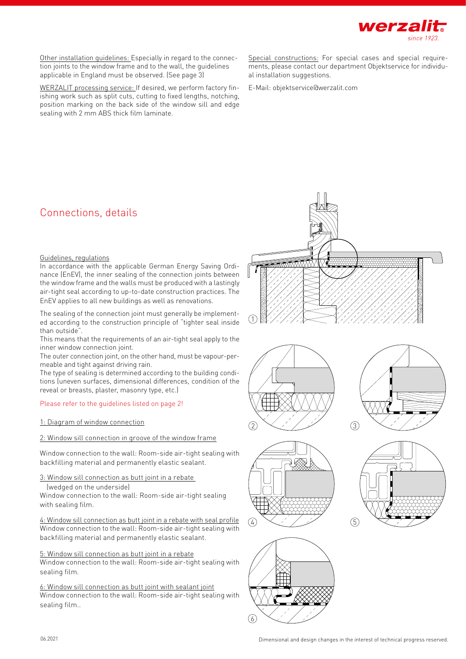

Other installation guidelines: Especially in regard to the connection joints to the window frame and to the wall, the guidelines applicable in England must be observed. (See page 3)

WERZALIT processing service: If desired, we perform factory finishing work such as split cuts, cutting to fixed lengths, notching, position marking on the back side of the window sill and edge sealing with 2 mm ABS thick film laminate.

Special constructions: For special cases and special requirements, please contact our department Objektservice for individual installation suggestions.

E-Mail: objektservice@werzalit.com

### Connections, details

#### Guidelines, regulations

In accordance with the applicable German Energy Saving Ordinance (EnEV), the inner sealing of the connection joints between the window frame and the walls must be produced with a lastingly air-tight seal according to up-to-date construction practices. The EnEV applies to all new buildings as well as renovations.

The sealing of the connection joint must generally be implemented according to the construction principle of "tighter seal inside than outside".

This means that the requirements of an air-tight seal apply to the inner window connection joint.

The outer connection joint, on the other hand, must be vapour-permeable and tight against driving rain.

The type of sealing is determined according to the building conditions (uneven surfaces, dimensional differences, condition of the reveal or breasts, plaster, masonry type, etc.)

#### Please refer to the guidelines listed on page 2!

#### 1: Diagram of window connection

#### 2: Window sill connection in groove of the window frame

Window connection to the wall: Room-side air-tight sealing with backfilling material and permanently elastic sealant.

3: Window sill connection as butt joint in a rebate

(wedged on the underside)

Window connection to the wall: Room-side air-tight sealing with sealing film.

4: Window sill connection as butt joint in a rebate with seal profile Window connection to the wall: Room-side air-tight sealing with backfilling material and permanently elastic sealant.

#### 5: Window sill connection as butt joint in a rebate

Window connection to the wall: Room-side air-tight sealing with sealing film.

6: Window sill connection as butt joint with sealant joint Window connection to the wall: Room-side air-tight sealing with sealing film..











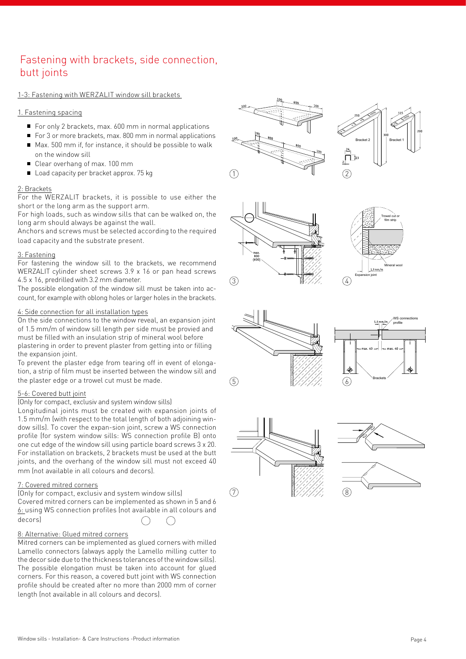### Fastening with brackets, side connection, butt joints

#### 1-3: Fastening with WERZALIT window sill brackets

#### 1. Fastening spacing

- For only 2 brackets, max. 600 mm in normal applications
- For 3 or more brackets, max, 800 mm in normal applications
- Max, 500 mm if, for instance, it should be possible to walk on the window sill
- Clear overhang of max. 100 mm
- Load capacity per bracket approx. 75 kg

#### 2: Brackets

For the WERZALIT brackets, it is possible to use either the short or the long arm as the support arm.

For high loads, such as window sills that can be walked on, the long arm should always be against the wall.

Anchors and screws must be selected according to the required load capacity and the substrate present.

#### 3: Fastening

For fastening the window sill to the brackets, we recommend WERZALIT cylinder sheet screws 3.9 x 16 or pan head screws 4.5 x 16, predrilled with 3.2 mm diameter.

The possible elongation of the window sill must be taken into account, for example with oblong holes or larger holes in the brackets.

#### 4: Side connection for all installation types

On the side connections to the window reveal, an expansion joint of 1.5 mm/m of window sill length per side must be provied and must be filled with an insulation strip of mineral wool before plastering in order to prevent plaster from getting into or filling the expansion joint.

To prevent the plaster edge from tearing off in event of elongation, a strip of film must be inserted between the window sill and the plaster edge or a trowel cut must be made.

#### 5-6: Covered butt joint

#### (Only for compact, exclusiv and system window sills)

Longitudinal joints must be created with expansion joints of 1.5 mm/m (with respect to the total length of both adjoining window sills). To cover the expan-sion joint, screw a WS connection profile (for system window sills: WS connection profile B) onto one cut edge of the window sill using particle board screws 3 x 20. For installation on brackets, 2 brackets must be used at the butt joints, and the overhang of the window sill must not exceed 40 mm (not available in all colours and decors).

#### 7: Covered mitred corners

(Only for compact, exclusiv and system window sills) Covered mitred corners can be implemented as shown in 5 and 6

6: using WS connection profiles (not available in all colours and decors)

#### 8: Alternative: Glued mitred corners

Mitred corners can be implemented as glued corners with milled Lamello connectors (always apply the Lamello milling cutter to the decor side due to the thickness tolerances of the window sills). The possible elongation must be taken into account for glued corners. For this reason, a covered butt joint with WS connection profile should be created after no more than 2000 mm of corner length (not available in all colours and decors).















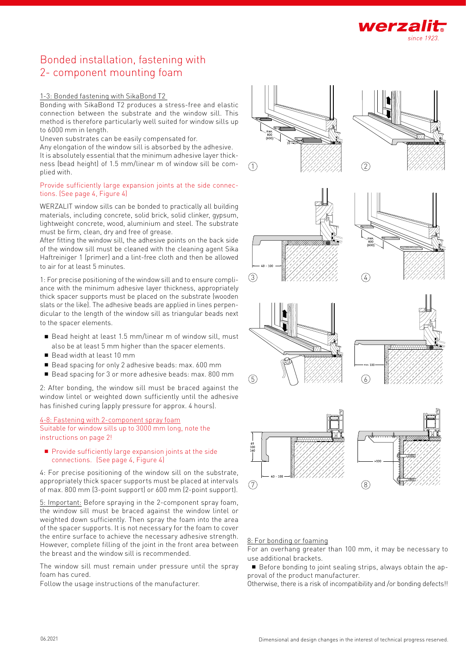

### Bonded installation, fastening with 2- component mounting foam

#### 1-3: Bonded fastening with SikaBond T2

Bonding with SikaBond T2 produces a stress-free and elastic connection between the substrate and the window sill. This method is therefore particularly well suited for window sills up to 6000 mm in length.

Uneven substrates can be easily compensated for.

Any elongation of the window sill is absorbed by the adhesive. It is absolutely essential that the minimum adhesive layer thickness (bead height) of 1.5 mm/linear m of window sill be complied with.

#### Provide sufficiently large expansion joints at the side connections. (See page 4, Figure 4)

WERZALIT window sills can be bonded to practically all building materials, including concrete, solid brick, solid clinker, gypsum, lightweight concrete, wood, aluminium and steel. The substrate must be firm, clean, dry and free of grease.

After fitting the window sill, the adhesive points on the back side of the window sill must be cleaned with the cleaning agent Sika Haftreiniger 1 (primer) and a lint-free cloth and then be allowed to air for at least 5 minutes.

1: For precise positioning of the window sill and to ensure compliance with the minimum adhesive layer thickness, appropriately thick spacer supports must be placed on the substrate (wooden slats or the like). The adhesive beads are applied in lines perpendicular to the length of the window sill as triangular beads next to the spacer elements.

- Bead height at least 1.5 mm/linear m of window sill, must also be at least 5 mm higher than the spacer elements.
- Bead width at least 10 mm
- Bead spacing for only 2 adhesive beads: max. 600 mm
- Bead spacing for 3 or more adhesive beads: max. 800 mm

2: After bonding, the window sill must be braced against the window lintel or weighted down sufficiently until the adhesive has finished curing (apply pressure for approx. 4 hours).

#### 4-8: Fastening with 2-component spray foam Suitable for window sills up to 3000 mm long, note the instructions on page 2!

#### **Provide sufficiently large expansion joints at the side** connections. (See page 4, Figure 4)

4: For precise positioning of the window sill on the substrate, appropriately thick spacer supports must be placed at intervals of max. 800 mm (3-point support) or 600 mm (2-point support).

5: Important: Before spraying in the 2-component spray foam, the window sill must be braced against the window lintel or weighted down sufficiently. Then spray the foam into the area of the spacer supports. It is not necessary for the foam to cover the entire surface to achieve the necessary adhesive strength. However, complete filling of the joint in the front area between the breast and the window sill is recommended.

The window sill must remain under pressure until the spray foam has cured.

Follow the usage instructions of the manufacturer.

















#### 8: For bonding or foaming

For an overhang greater than 100 mm, it may be necessary to use additional brackets.

Before bonding to joint sealing strips, always obtain the approval of the product manufacturer.

Otherwise, there is a risk of incompatibility and /or bonding defects!!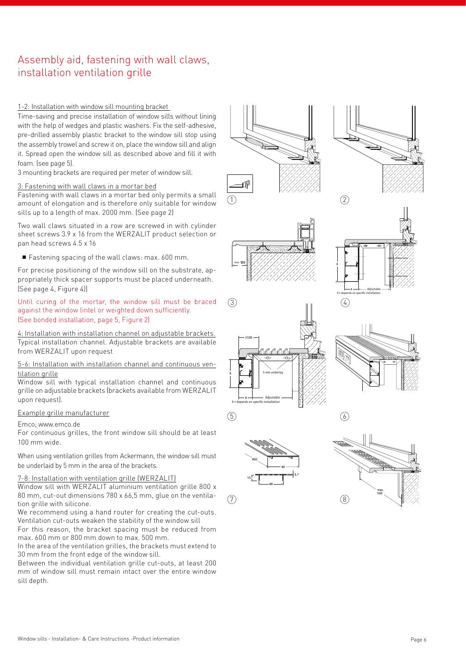### Assembly aid, fastening with wall claws, installation ventilation grille

#### 1-2: Installation with window sill mounting bracket

Time-saving and precise installation of window sills without lining with the help of wedges and plastic washers. Fix the self-adhesive, pre-drilled assembly plastic bracket to the window sill stop using the assembly trowel and screw it on, place the window sill and align it. Spread open the window sill as described above and fill it with foam. (see page 5).

3 mounting brackets are required per meter of window sill.

#### 3: Fastening with wall claws in a mortar bed

Fastening with wall claws in a mortar bed only permits a small amount of elongation and is therefore only suitable for window sills up to a length of max. 2000 mm. (See page 2)

Two wall claws situated in a row are screwed in with cylinder sheet screws 3.9 x 16 from the WERZALIT product selection or pan head screws 4.5 x 16

Fastening spacing of the wall claws: max. 600 mm.

For precise positioning of the window sill on the substrate, appropriately thick spacer supports must be placed underneath. (See page 4, Figure 4))

Until curing of the mortar, the window sill must be braced against the window lintel or weighted down sufficiently. (See bonded installation, page 5, Figure 2)

4: Installation with installation channel on adjustable brackets. Typical installation channel. Adjustable brackets are available from WERZALIT upon request

#### 5-6: Installation with installation channel and continuous ventilation grille

Window sill with typical installation channel and continuous grille on adjustable brackets (brackets available from WERZALIT upon request).

#### Example grille manufacturer

#### Emco; www.emco.de

For continuous grilles, the front window sill should be at least 100 mm wide.

When using ventilation grilles from Ackermann, the window sill must be underlaid by 5 mm in the area of the brackets.

#### 7-8: Installation with ventilation grille (WERZALIT)

Window sill with WERZALIT aluminium ventilation grille 800 x 80 mm, cut-out dimensions 780 x 66,5 mm, glue on the ventilation grille with silicone.

We recommend using a hand router for creating the cut-outs. Ventilation cut-outs weaken the stability of the window sill

For this reason, the bracket spacing must be reduced from max. 600 mm or 800 mm down to max. 500 mm.

In the area of the ventilation grilles, the brackets must extend to 30 mm from the front edge of the window sill.

Between the individual ventilation grille cut-outs, at least 200 mm of window sill must remain intact over the entire window sill depth.



1

 $\circled{3}$ 

















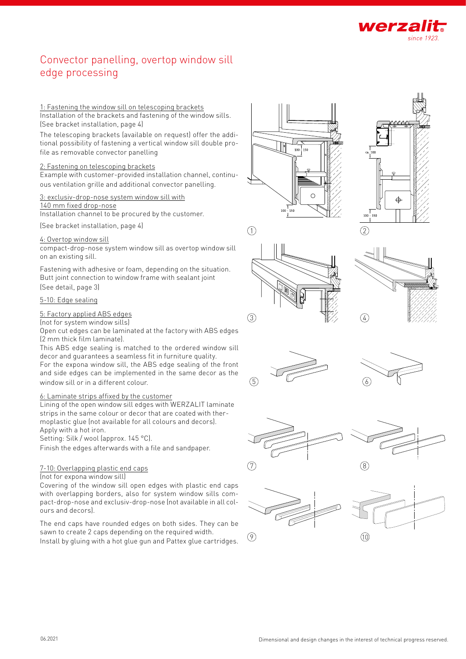

### Convector panelling, overtop window sill edge processing

#### 1: Fastening the window sill on telescoping brackets

Installation of the brackets and fastening of the window sills. (See bracket installation, page 4)

The telescoping brackets (available on request) offer the addi tional possibility of fastening a vertical window sill double pro file as removable convector panelling

#### 2: Fastening on telescoping brackets

Example with customer-provided installation channel, continu ous ventilation grille and additional convector panelling .

#### 3: exclusiv-drop-nose system window sill with

140 mm fixed drop-nose

Installation channel to be procured by the customer.

(See bracket installation, page 4)

#### 4: Overtop window sill

compact-drop-nose system window sill as overtop window sill on an existing sill.

Fastening with adhesive or foam, depending on the situation. Butt joint connection to window frame with sealant joint (See detail, page 3)

#### 5-10: Edge sealing

#### 5: Factory applied ABS edges

(not for system window sills)

Open cut edges can be laminated at the factory with ABS edges (2 mm thick film laminate).

This ABS edge sealing is matched to the ordered window sill decor and guarantees a seamless fit in furniture quality.

For the expona window sill, the ABS edge sealing of the front and side edges can be implemented in the same decor as the window sill or in a different colour .

#### 6: Laminate strips affixed by the customer

Lining of the open window sill edges with WERZALIT laminate strips in the same colour or decor that are coated with ther moplastic glue (not available for all colours and decors). Apply with a hot iron.

Setting: Silk / wool (approx. 145 °C).

Finish the edges afterwards with a file and sandpaper .

#### 7-10: Overlapping plastic end caps

(not for expona window sill)

Covering of the window sill open edges with plastic end caps with overlapping borders, also for system window sills com pact-drop-nose and exclusiv-drop-nose (not available in all col ours and decors).

The end caps have rounded edges on both sides. They can be sawn to create 2 caps depending on the required width. Install by gluing with a hot glue gun and Pattex glue cartridges .







 $\bigcap$